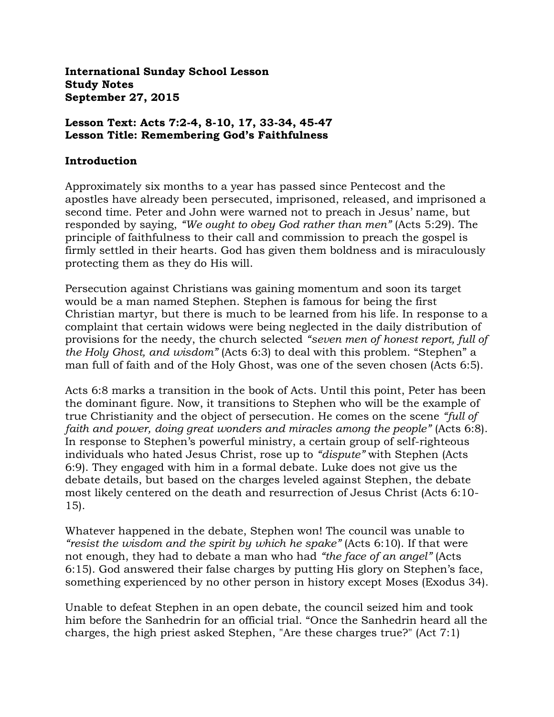**International Sunday School Lesson Study Notes September 27, 2015**

#### **Lesson Text: Acts 7:2-4, 8-10, 17, 33-34, 45-47 Lesson Title: Remembering God's Faithfulness**

#### **Introduction**

Approximately six months to a year has passed since Pentecost and the apostles have already been persecuted, imprisoned, released, and imprisoned a second time. Peter and John were warned not to preach in Jesus' name, but responded by saying, *"We ought to obey God rather than men"* (Acts 5:29). The principle of faithfulness to their call and commission to preach the gospel is firmly settled in their hearts. God has given them boldness and is miraculously protecting them as they do His will.

Persecution against Christians was gaining momentum and soon its target would be a man named Stephen. Stephen is famous for being the first Christian martyr, but there is much to be learned from his life. In response to a complaint that certain widows were being neglected in the daily distribution of provisions for the needy, the church selected *"seven men of honest report, full of the Holy Ghost, and wisdom"* (Acts 6:3) to deal with this problem. "Stephen" a man full of faith and of the Holy Ghost, was one of the seven chosen (Acts 6:5).

Acts 6:8 marks a transition in the book of Acts. Until this point, Peter has been the dominant figure. Now, it transitions to Stephen who will be the example of true Christianity and the object of persecution. He comes on the scene *"full of faith and power, doing great wonders and miracles among the people"* (Acts 6:8). In response to Stephen's powerful ministry, a certain group of self-righteous individuals who hated Jesus Christ, rose up to *"dispute"* with Stephen (Acts 6:9). They engaged with him in a formal debate. Luke does not give us the debate details, but based on the charges leveled against Stephen, the debate most likely centered on the death and resurrection of Jesus Christ (Acts 6:10- 15).

Whatever happened in the debate, Stephen won! The council was unable to *"resist the wisdom and the spirit by which he spake"* (Acts 6:10). If that were not enough, they had to debate a man who had *"the face of an angel"* (Acts 6:15). God answered their false charges by putting His glory on Stephen's face, something experienced by no other person in history except Moses (Exodus 34).

Unable to defeat Stephen in an open debate, the council seized him and took him before the Sanhedrin for an official trial. "Once the Sanhedrin heard all the charges, the high priest asked Stephen, "Are these charges true?" (Act 7:1)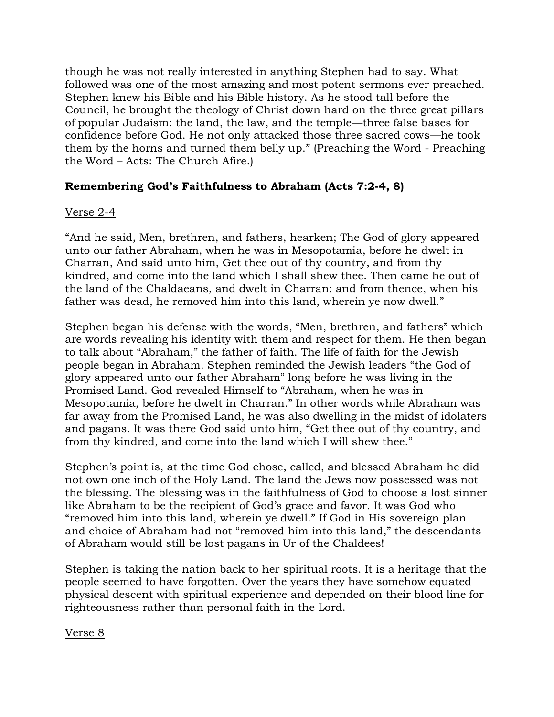though he was not really interested in anything Stephen had to say. What followed was one of the most amazing and most potent sermons ever preached. Stephen knew his Bible and his Bible history. As he stood tall before the Council, he brought the theology of Christ down hard on the three great pillars of popular Judaism: the land, the law, and the temple—three false bases for confidence before God. He not only attacked those three sacred cows—he took them by the horns and turned them belly up." (Preaching the Word - Preaching the Word – Acts: The Church Afire.)

## **Remembering God's Faithfulness to Abraham (Acts 7:2-4, 8)**

#### Verse 2-4

"And he said, Men, brethren, and fathers, hearken; The God of glory appeared unto our father Abraham, when he was in Mesopotamia, before he dwelt in Charran, And said unto him, Get thee out of thy country, and from thy kindred, and come into the land which I shall shew thee. Then came he out of the land of the Chaldaeans, and dwelt in Charran: and from thence, when his father was dead, he removed him into this land, wherein ye now dwell."

Stephen began his defense with the words, "Men, brethren, and fathers" which are words revealing his identity with them and respect for them. He then began to talk about "Abraham," the father of faith. The life of faith for the Jewish people began in Abraham. Stephen reminded the Jewish leaders "the God of glory appeared unto our father Abraham" long before he was living in the Promised Land. God revealed Himself to "Abraham, when he was in Mesopotamia, before he dwelt in Charran." In other words while Abraham was far away from the Promised Land, he was also dwelling in the midst of idolaters and pagans. It was there God said unto him, "Get thee out of thy country, and from thy kindred, and come into the land which I will shew thee."

Stephen's point is, at the time God chose, called, and blessed Abraham he did not own one inch of the Holy Land. The land the Jews now possessed was not the blessing. The blessing was in the faithfulness of God to choose a lost sinner like Abraham to be the recipient of God's grace and favor. It was God who "removed him into this land, wherein ye dwell." If God in His sovereign plan and choice of Abraham had not "removed him into this land," the descendants of Abraham would still be lost pagans in Ur of the Chaldees!

Stephen is taking the nation back to her spiritual roots. It is a heritage that the people seemed to have forgotten. Over the years they have somehow equated physical descent with spiritual experience and depended on their blood line for righteousness rather than personal faith in the Lord.

Verse 8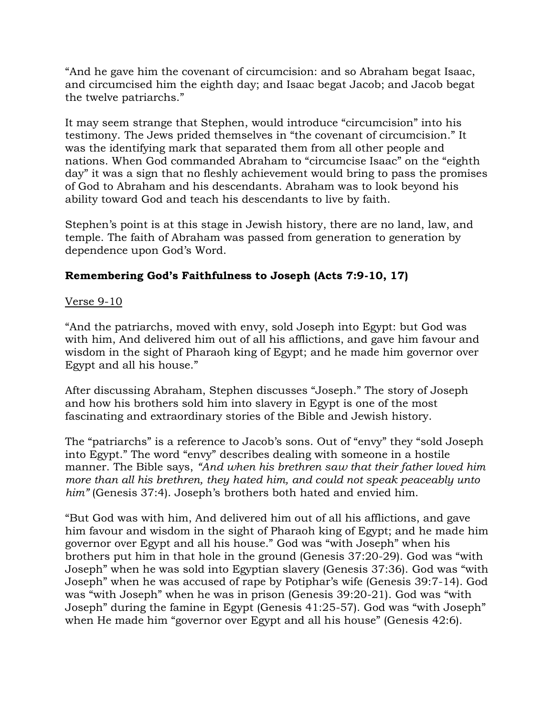"And he gave him the covenant of circumcision: and so Abraham begat Isaac, and circumcised him the eighth day; and Isaac begat Jacob; and Jacob begat the twelve patriarchs."

It may seem strange that Stephen, would introduce "circumcision" into his testimony. The Jews prided themselves in "the covenant of circumcision." It was the identifying mark that separated them from all other people and nations. When God commanded Abraham to "circumcise Isaac" on the "eighth day" it was a sign that no fleshly achievement would bring to pass the promises of God to Abraham and his descendants. Abraham was to look beyond his ability toward God and teach his descendants to live by faith.

Stephen's point is at this stage in Jewish history, there are no land, law, and temple. The faith of Abraham was passed from generation to generation by dependence upon God's Word.

# **Remembering God's Faithfulness to Joseph (Acts 7:9-10, 17)**

## Verse 9-10

"And the patriarchs, moved with envy, sold Joseph into Egypt: but God was with him, And delivered him out of all his afflictions, and gave him favour and wisdom in the sight of Pharaoh king of Egypt; and he made him governor over Egypt and all his house."

After discussing Abraham, Stephen discusses "Joseph." The story of Joseph and how his brothers sold him into slavery in Egypt is one of the most fascinating and extraordinary stories of the Bible and Jewish history.

The "patriarchs" is a reference to Jacob's sons. Out of "envy" they "sold Joseph into Egypt." The word "envy" describes dealing with someone in a hostile manner. The Bible says, *"And when his brethren saw that their father loved him more than all his brethren, they hated him, and could not speak peaceably unto him"* (Genesis 37:4). Joseph's brothers both hated and envied him.

"But God was with him, And delivered him out of all his afflictions, and gave him favour and wisdom in the sight of Pharaoh king of Egypt; and he made him governor over Egypt and all his house." God was "with Joseph" when his brothers put him in that hole in the ground (Genesis 37:20-29). God was "with Joseph" when he was sold into Egyptian slavery (Genesis 37:36). God was "with Joseph" when he was accused of rape by Potiphar's wife (Genesis 39:7-14). God was "with Joseph" when he was in prison (Genesis 39:20-21). God was "with Joseph" during the famine in Egypt (Genesis 41:25-57). God was "with Joseph" when He made him "governor over Egypt and all his house" (Genesis 42:6).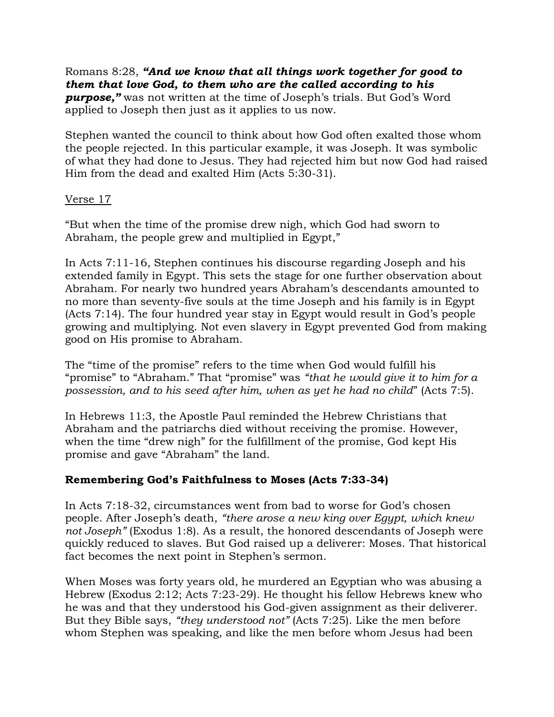Romans 8:28, *"And we know that all things work together for good to them that love God, to them who are the called according to his purpose,"* was not written at the time of Joseph's trials. But God's Word applied to Joseph then just as it applies to us now.

Stephen wanted the council to think about how God often exalted those whom the people rejected. In this particular example, it was Joseph. It was symbolic of what they had done to Jesus. They had rejected him but now God had raised Him from the dead and exalted Him (Acts 5:30-31).

#### Verse 17

"But when the time of the promise drew nigh, which God had sworn to Abraham, the people grew and multiplied in Egypt,"

In Acts 7:11-16, Stephen continues his discourse regarding Joseph and his extended family in Egypt. This sets the stage for one further observation about Abraham. For nearly two hundred years Abraham's descendants amounted to no more than seventy-five souls at the time Joseph and his family is in Egypt (Acts 7:14). The four hundred year stay in Egypt would result in God's people growing and multiplying. Not even slavery in Egypt prevented God from making good on His promise to Abraham.

The "time of the promise" refers to the time when God would fulfill his "promise" to "Abraham." That "promise" was *"that he would give it to him for a possession, and to his seed after him, when as yet he had no child*" (Acts 7:5).

In Hebrews 11:3, the Apostle Paul reminded the Hebrew Christians that Abraham and the patriarchs died without receiving the promise. However, when the time "drew nigh" for the fulfillment of the promise, God kept His promise and gave "Abraham" the land.

## **Remembering God's Faithfulness to Moses (Acts 7:33-34)**

In Acts 7:18-32, circumstances went from bad to worse for God's chosen people. After Joseph's death, *"there arose a new king over Egypt, which knew not Joseph"* (Exodus 1:8). As a result, the honored descendants of Joseph were quickly reduced to slaves. But God raised up a deliverer: Moses. That historical fact becomes the next point in Stephen's sermon.

When Moses was forty years old, he murdered an Egyptian who was abusing a Hebrew (Exodus 2:12; Acts 7:23-29). He thought his fellow Hebrews knew who he was and that they understood his God-given assignment as their deliverer. But they Bible says, *"they understood not"* (Acts 7:25). Like the men before whom Stephen was speaking, and like the men before whom Jesus had been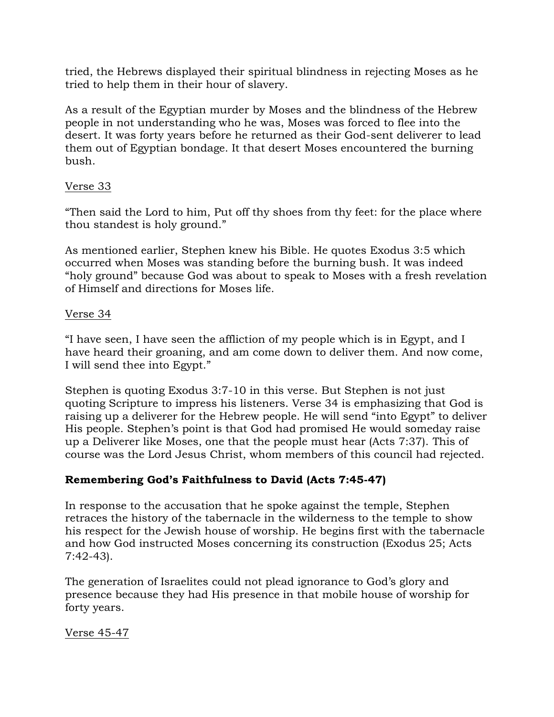tried, the Hebrews displayed their spiritual blindness in rejecting Moses as he tried to help them in their hour of slavery.

As a result of the Egyptian murder by Moses and the blindness of the Hebrew people in not understanding who he was, Moses was forced to flee into the desert. It was forty years before he returned as their God-sent deliverer to lead them out of Egyptian bondage. It that desert Moses encountered the burning bush.

## Verse 33

"Then said the Lord to him, Put off thy shoes from thy feet: for the place where thou standest is holy ground."

As mentioned earlier, Stephen knew his Bible. He quotes Exodus 3:5 which occurred when Moses was standing before the burning bush. It was indeed "holy ground" because God was about to speak to Moses with a fresh revelation of Himself and directions for Moses life.

## Verse 34

"I have seen, I have seen the affliction of my people which is in Egypt, and I have heard their groaning, and am come down to deliver them. And now come, I will send thee into Egypt."

Stephen is quoting Exodus 3:7-10 in this verse. But Stephen is not just quoting Scripture to impress his listeners. Verse 34 is emphasizing that God is raising up a deliverer for the Hebrew people. He will send "into Egypt" to deliver His people. Stephen's point is that God had promised He would someday raise up a Deliverer like Moses, one that the people must hear (Acts 7:37). This of course was the Lord Jesus Christ, whom members of this council had rejected.

# **Remembering God's Faithfulness to David (Acts 7:45-47)**

In response to the accusation that he spoke against the temple, Stephen retraces the history of the tabernacle in the wilderness to the temple to show his respect for the Jewish house of worship. He begins first with the tabernacle and how God instructed Moses concerning its construction (Exodus 25; Acts 7:42-43).

The generation of Israelites could not plead ignorance to God's glory and presence because they had His presence in that mobile house of worship for forty years.

Verse 45-47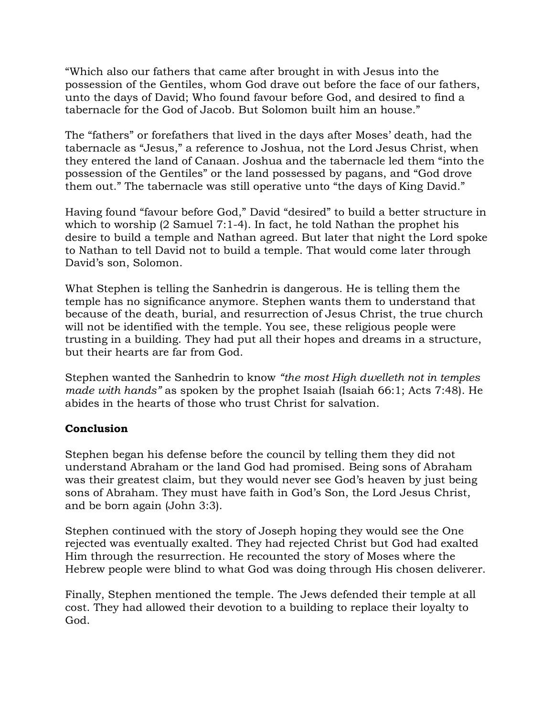"Which also our fathers that came after brought in with Jesus into the possession of the Gentiles, whom God drave out before the face of our fathers, unto the days of David; Who found favour before God, and desired to find a tabernacle for the God of Jacob. But Solomon built him an house."

The "fathers" or forefathers that lived in the days after Moses' death, had the tabernacle as "Jesus," a reference to Joshua, not the Lord Jesus Christ, when they entered the land of Canaan. Joshua and the tabernacle led them "into the possession of the Gentiles" or the land possessed by pagans, and "God drove them out." The tabernacle was still operative unto "the days of King David."

Having found "favour before God," David "desired" to build a better structure in which to worship (2 Samuel 7:1-4). In fact, he told Nathan the prophet his desire to build a temple and Nathan agreed. But later that night the Lord spoke to Nathan to tell David not to build a temple. That would come later through David's son, Solomon.

What Stephen is telling the Sanhedrin is dangerous. He is telling them the temple has no significance anymore. Stephen wants them to understand that because of the death, burial, and resurrection of Jesus Christ, the true church will not be identified with the temple. You see, these religious people were trusting in a building. They had put all their hopes and dreams in a structure, but their hearts are far from God.

Stephen wanted the Sanhedrin to know *"the most High dwelleth not in temples made with hands"* as spoken by the prophet Isaiah (Isaiah 66:1; Acts 7:48). He abides in the hearts of those who trust Christ for salvation.

## **Conclusion**

Stephen began his defense before the council by telling them they did not understand Abraham or the land God had promised. Being sons of Abraham was their greatest claim, but they would never see God's heaven by just being sons of Abraham. They must have faith in God's Son, the Lord Jesus Christ, and be born again (John 3:3).

Stephen continued with the story of Joseph hoping they would see the One rejected was eventually exalted. They had rejected Christ but God had exalted Him through the resurrection. He recounted the story of Moses where the Hebrew people were blind to what God was doing through His chosen deliverer.

Finally, Stephen mentioned the temple. The Jews defended their temple at all cost. They had allowed their devotion to a building to replace their loyalty to God.